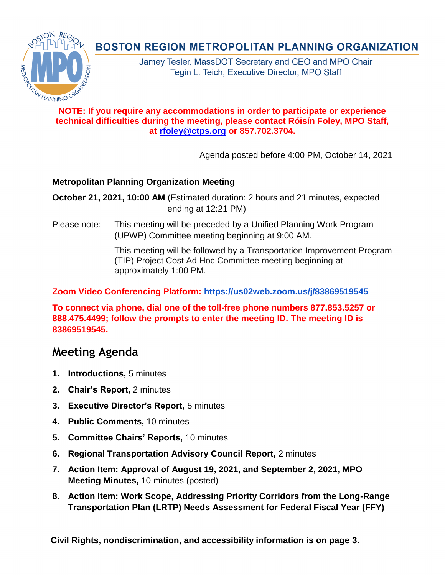## **NOTE: If you require any accommodations in order to participate or experience technical difficulties during the meeting, please contact Róisín Foley, MPO Staff, at [rfoley@ctps.org](mailto:rfoley@ctps.org) or 857.702.3704.**

Agenda posted before 4:00 PM, October 14, 2021

## **Metropolitan Planning Organization Meeting**

**October 21, 2021, 10:00 AM** (Estimated duration: 2 hours and 21 minutes, expected ending at 12:21 PM)

Please note: This meeting will be preceded by a Unified Planning Work Program (UPWP) Committee meeting beginning at 9:00 AM.

> This meeting will be followed by a Transportation Improvement Program (TIP) Project Cost Ad Hoc Committee meeting beginning at approximately 1:00 PM.

## **Zoom Video Conferencing Platform: <https://us02web.zoom.us/j/83869519545>**

**To connect via phone, dial one of the toll-free phone numbers 877.853.5257 or 888.475.4499; follow the prompts to enter the meeting ID. The meeting ID is 83869519545.**

# **Meeting Agenda**

- **1. Introductions,** 5 minutes
- **2. Chair's Report,** 2 minutes
- **3. Executive Director's Report,** 5 minutes
- **4. Public Comments,** 10 minutes
- **5. Committee Chairs' Reports,** 10 minutes
- **6. Regional Transportation Advisory Council Report,** 2 minutes
- **7. Action Item: Approval of August 19, 2021, and September 2, 2021, MPO Meeting Minutes,** 10 minutes (posted)
- **8. Action Item: Work Scope, Addressing Priority Corridors from the Long-Range Transportation Plan (LRTP) Needs Assessment for Federal Fiscal Year (FFY)**

**Civil Rights, nondiscrimination, and accessibility information is on page 3.**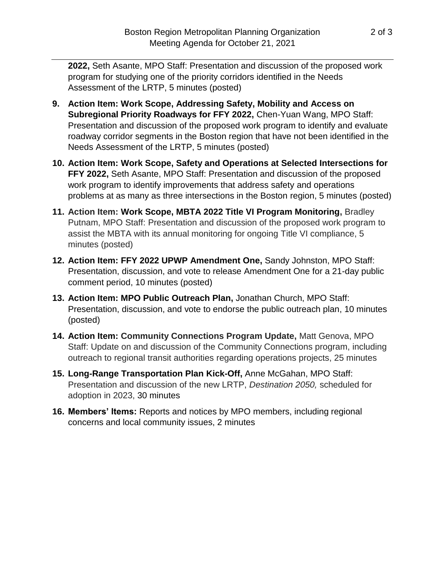**2022,** Seth Asante, MPO Staff: Presentation and discussion of the proposed work program for studying one of the priority corridors identified in the Needs Assessment of the LRTP, 5 minutes (posted)

- **9. Action Item: Work Scope, Addressing Safety, Mobility and Access on Subregional Priority Roadways for FFY 2022,** Chen-Yuan Wang, MPO Staff: Presentation and discussion of the proposed work program to identify and evaluate roadway corridor segments in the Boston region that have not been identified in the Needs Assessment of the LRTP, 5 minutes (posted)
- **10. Action Item: Work Scope, Safety and Operations at Selected Intersections for FFY 2022,** Seth Asante, MPO Staff: Presentation and discussion of the proposed work program to identify improvements that address safety and operations problems at as many as three intersections in the Boston region, 5 minutes (posted)
- **11. Action Item: Work Scope, MBTA 2022 Title VI Program Monitoring,** Bradley Putnam, MPO Staff: Presentation and discussion of the proposed work program to assist the MBTA with its annual monitoring for ongoing Title VI compliance, 5 minutes (posted)
- **12. Action Item: FFY 2022 UPWP Amendment One,** Sandy Johnston, MPO Staff: Presentation, discussion, and vote to release Amendment One for a 21-day public comment period, 10 minutes (posted)
- **13. Action Item: MPO Public Outreach Plan,** Jonathan Church, MPO Staff: Presentation, discussion, and vote to endorse the public outreach plan, 10 minutes (posted)
- **14. Action Item: Community Connections Program Update,** Matt Genova, MPO Staff: Update on and discussion of the Community Connections program, including outreach to regional transit authorities regarding operations projects, 25 minutes
- **15. Long-Range Transportation Plan Kick-Off,** Anne McGahan, MPO Staff: Presentation and discussion of the new LRTP, *Destination 2050,* scheduled for adoption in 2023, 30 minutes
- **16. Members' Items:** Reports and notices by MPO members, including regional concerns and local community issues, 2 minutes